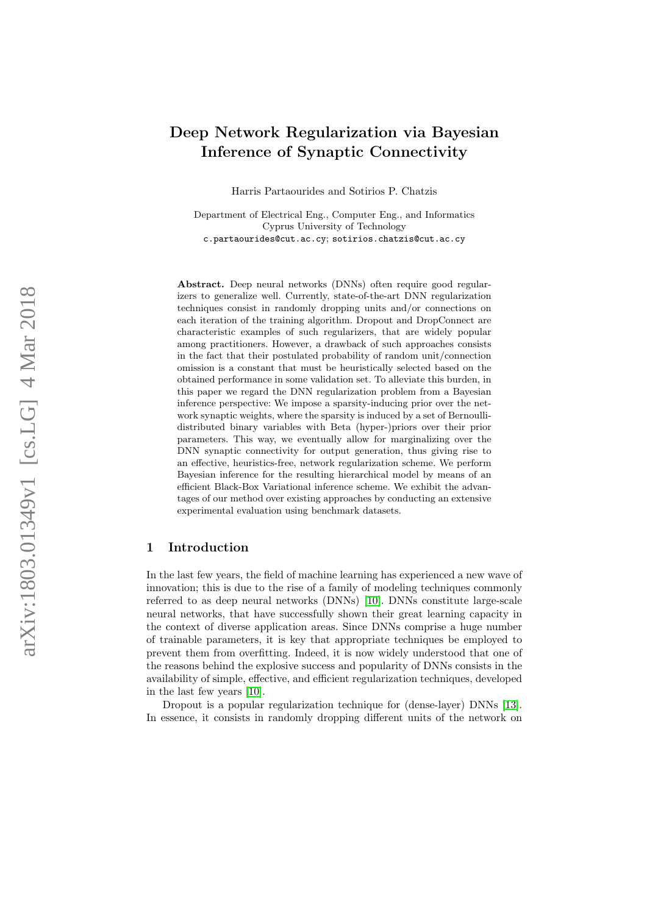# Deep Network Regularization via Bayesian Inference of Synaptic Connectivity

Harris Partaourides and Sotirios P. Chatzis

Department of Electrical Eng., Computer Eng., and Informatics Cyprus University of Technology c.partaourides@cut.ac.cy ; sotirios.chatzis@cut.ac.cy

Abstract. Deep neural networks (DNNs) often require good regularizers to generalize well. Currently, state-of-the-art DNN regularization techniques consist in randomly dropping units and/or connections on each iteration of the training algorithm. Dropout and DropConnect are characteristic examples of such regularizers, that are widely popular among practitioners. However, a drawback of such approaches consists in the fact that their postulated probability of random unit/connection omission is a constant that must be heuristically selected based on the obtained performance in some validation set. To alleviate this burden, in this paper we regard the DNN regularization problem from a Bayesian inference perspective: We impose a sparsity-inducing prior over the network synaptic weights, where the sparsity is induced by a set of Bernoullidistributed binary variables with Beta (hyper-)priors over their prior parameters. This way, we eventually allow for marginalizing over the DNN synaptic connectivity for output generation, thus giving rise to an effective, heuristics-free, network regularization scheme. We perform Bayesian inference for the resulting hierarchical model by means of an efficient Black-Box Variational inference scheme. We exhibit the advantages of our method over existing approaches by conducting an extensive experimental evaluation using benchmark datasets.

## 1 Introduction

In the last few years, the field of machine learning has experienced a new wave of innovation; this is due to the rise of a family of modeling techniques commonly referred to as deep neural networks (DNNs) [\[10\]](#page-11-0). DNNs constitute large-scale neural networks, that have successfully shown their great learning capacity in the context of diverse application areas. Since DNNs comprise a huge number of trainable parameters, it is key that appropriate techniques be employed to prevent them from overfitting. Indeed, it is now widely understood that one of the reasons behind the explosive success and popularity of DNNs consists in the availability of simple, effective, and efficient regularization techniques, developed in the last few years [\[10\]](#page-11-0).

Dropout is a popular regularization technique for (dense-layer) DNNs [\[13\]](#page-11-1). In essence, it consists in randomly dropping different units of the network on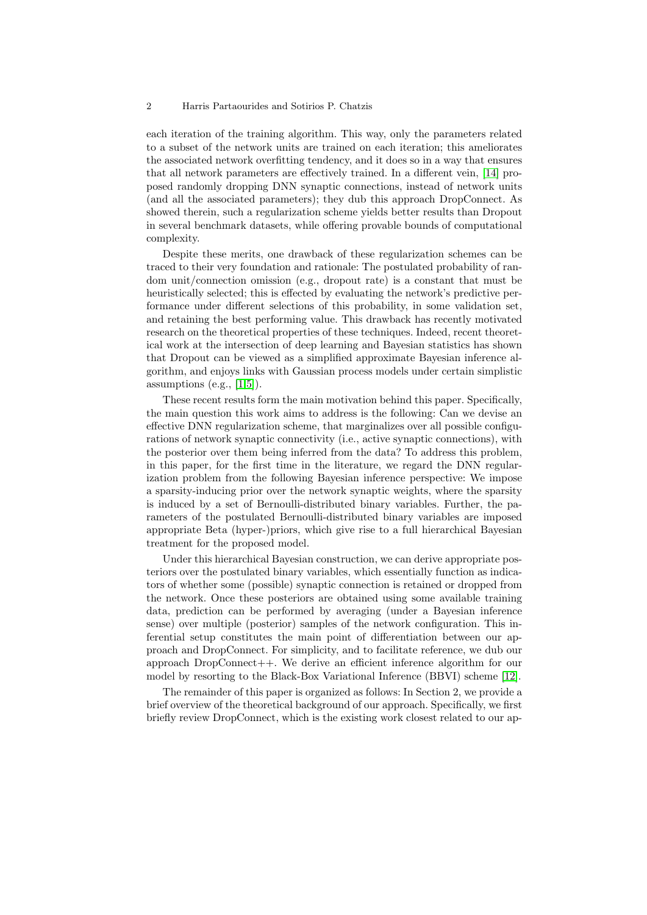each iteration of the training algorithm. This way, only the parameters related to a subset of the network units are trained on each iteration; this ameliorates the associated network overfitting tendency, and it does so in a way that ensures that all network parameters are effectively trained. In a different vein, [\[14\]](#page-11-2) proposed randomly dropping DNN synaptic connections, instead of network units (and all the associated parameters); they dub this approach DropConnect. As showed therein, such a regularization scheme yields better results than Dropout in several benchmark datasets, while offering provable bounds of computational complexity.

Despite these merits, one drawback of these regularization schemes can be traced to their very foundation and rationale: The postulated probability of random unit/connection omission (e.g., dropout rate) is a constant that must be heuristically selected; this is effected by evaluating the network's predictive performance under different selections of this probability, in some validation set, and retaining the best performing value. This drawback has recently motivated research on the theoretical properties of these techniques. Indeed, recent theoretical work at the intersection of deep learning and Bayesian statistics has shown that Dropout can be viewed as a simplified approximate Bayesian inference algorithm, and enjoys links with Gaussian process models under certain simplistic assumptions (e.g.,  $[1,5]$  $[1,5]$ ).

These recent results form the main motivation behind this paper. Specifically, the main question this work aims to address is the following: Can we devise an effective DNN regularization scheme, that marginalizes over all possible configurations of network synaptic connectivity (i.e., active synaptic connections), with the posterior over them being inferred from the data? To address this problem, in this paper, for the first time in the literature, we regard the DNN regularization problem from the following Bayesian inference perspective: We impose a sparsity-inducing prior over the network synaptic weights, where the sparsity is induced by a set of Bernoulli-distributed binary variables. Further, the parameters of the postulated Bernoulli-distributed binary variables are imposed appropriate Beta (hyper-)priors, which give rise to a full hierarchical Bayesian treatment for the proposed model.

Under this hierarchical Bayesian construction, we can derive appropriate posteriors over the postulated binary variables, which essentially function as indicators of whether some (possible) synaptic connection is retained or dropped from the network. Once these posteriors are obtained using some available training data, prediction can be performed by averaging (under a Bayesian inference sense) over multiple (posterior) samples of the network configuration. This inferential setup constitutes the main point of differentiation between our approach and DropConnect. For simplicity, and to facilitate reference, we dub our approach DropConnect++. We derive an efficient inference algorithm for our model by resorting to the Black-Box Variational Inference (BBVI) scheme [\[12\]](#page-11-5).

The remainder of this paper is organized as follows: In Section 2, we provide a brief overview of the theoretical background of our approach. Specifically, we first briefly review DropConnect, which is the existing work closest related to our ap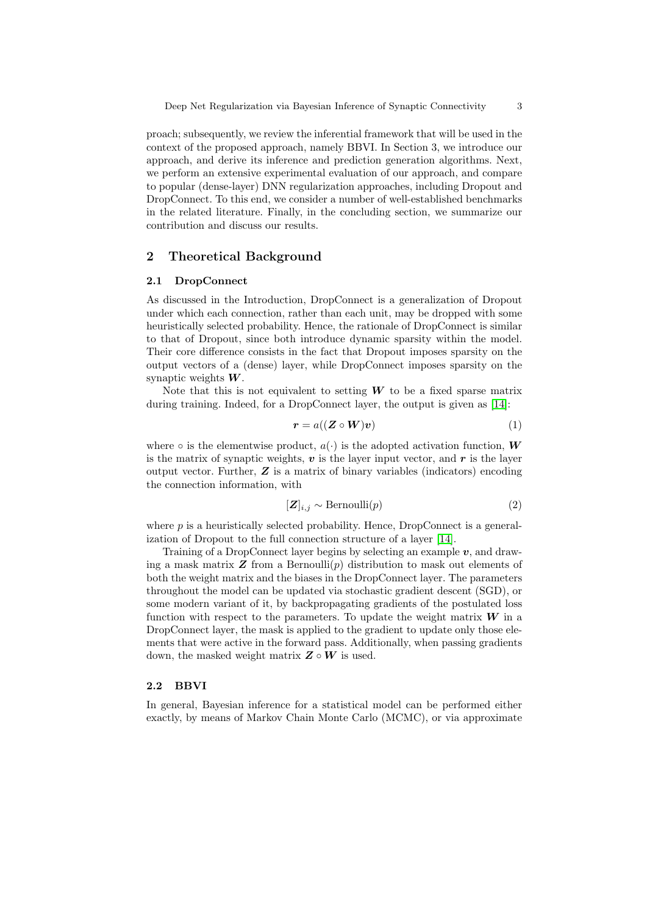proach; subsequently, we review the inferential framework that will be used in the context of the proposed approach, namely BBVI. In Section 3, we introduce our approach, and derive its inference and prediction generation algorithms. Next, we perform an extensive experimental evaluation of our approach, and compare to popular (dense-layer) DNN regularization approaches, including Dropout and DropConnect. To this end, we consider a number of well-established benchmarks in the related literature. Finally, in the concluding section, we summarize our contribution and discuss our results.

# 2 Theoretical Background

## 2.1 DropConnect

As discussed in the Introduction, DropConnect is a generalization of Dropout under which each connection, rather than each unit, may be dropped with some heuristically selected probability. Hence, the rationale of DropConnect is similar to that of Dropout, since both introduce dynamic sparsity within the model. Their core difference consists in the fact that Dropout imposes sparsity on the output vectors of a (dense) layer, while DropConnect imposes sparsity on the synaptic weights  $W$ .

Note that this is not equivalent to setting  $W$  to be a fixed sparse matrix during training. Indeed, for a DropConnect layer, the output is given as [\[14\]](#page-11-2):

$$
r = a((Z \circ W)v) \tag{1}
$$

where  $\circ$  is the elementwise product,  $a(\cdot)$  is the adopted activation function, W is the matrix of synaptic weights,  $v$  is the layer input vector, and  $r$  is the layer output vector. Further,  $\boldsymbol{Z}$  is a matrix of binary variables (indicators) encoding the connection information, with

$$
[\mathbf{Z}]_{i,j} \sim \text{Bernoulli}(p) \tag{2}
$$

where  $p$  is a heuristically selected probability. Hence, DropConnect is a generalization of Dropout to the full connection structure of a layer [\[14\]](#page-11-2).

Training of a DropConnect layer begins by selecting an example  $v$ , and drawing a mask matrix  $Z$  from a Bernoulli $(p)$  distribution to mask out elements of both the weight matrix and the biases in the DropConnect layer. The parameters throughout the model can be updated via stochastic gradient descent (SGD), or some modern variant of it, by backpropagating gradients of the postulated loss function with respect to the parameters. To update the weight matrix  $W$  in a DropConnect layer, the mask is applied to the gradient to update only those elements that were active in the forward pass. Additionally, when passing gradients down, the masked weight matrix  $Z \circ W$  is used.

#### 2.2 BBVI

In general, Bayesian inference for a statistical model can be performed either exactly, by means of Markov Chain Monte Carlo (MCMC), or via approximate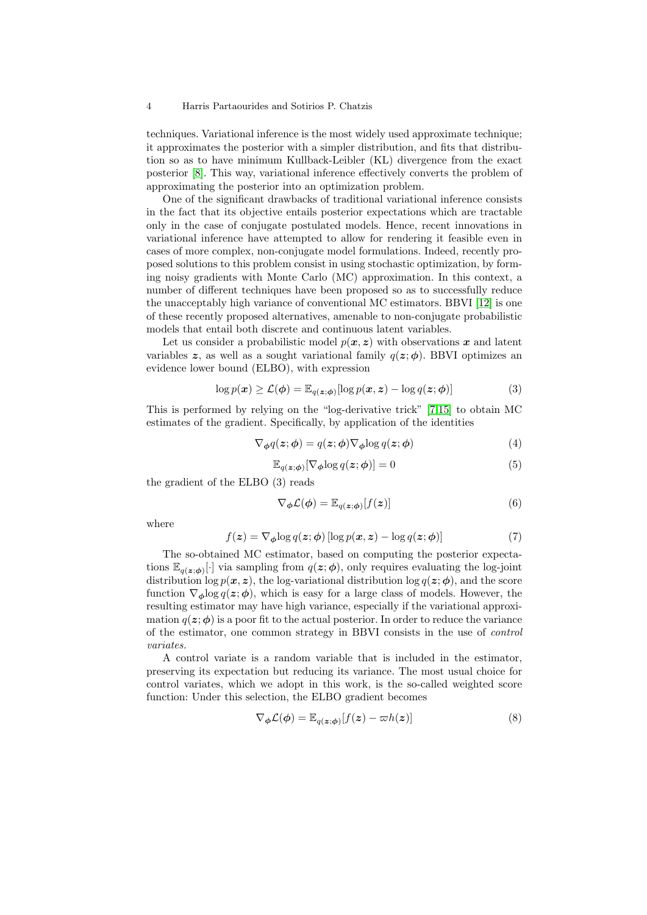techniques. Variational inference is the most widely used approximate technique; it approximates the posterior with a simpler distribution, and fits that distribution so as to have minimum Kullback-Leibler (KL) divergence from the exact posterior [\[8\]](#page-11-6). This way, variational inference effectively converts the problem of approximating the posterior into an optimization problem.

One of the significant drawbacks of traditional variational inference consists in the fact that its objective entails posterior expectations which are tractable only in the case of conjugate postulated models. Hence, recent innovations in variational inference have attempted to allow for rendering it feasible even in cases of more complex, non-conjugate model formulations. Indeed, recently proposed solutions to this problem consist in using stochastic optimization, by forming noisy gradients with Monte Carlo (MC) approximation. In this context, a number of different techniques have been proposed so as to successfully reduce the unacceptably high variance of conventional MC estimators. BBVI [\[12\]](#page-11-5) is one of these recently proposed alternatives, amenable to non-conjugate probabilistic models that entail both discrete and continuous latent variables.

Let us consider a probabilistic model  $p(x, z)$  with observations x and latent variables z, as well as a sought variational family  $q(z; \phi)$ . BBVI optimizes an evidence lower bound (ELBO), with expression

$$
\log p(\boldsymbol{x}) \ge \mathcal{L}(\boldsymbol{\phi}) = \mathbb{E}_{q(\boldsymbol{z};\boldsymbol{\phi})}[\log p(\boldsymbol{x}, \boldsymbol{z}) - \log q(\boldsymbol{z}; \boldsymbol{\phi})] \tag{3}
$$

This is performed by relying on the "log-derivative trick" [\[7,](#page-11-7)[15\]](#page-11-8) to obtain MC estimates of the gradient. Specifically, by application of the identities

$$
\nabla_{\phi} q(z; \phi) = q(z; \phi) \nabla_{\phi} \log q(z; \phi)
$$
\n(4)

$$
\mathbb{E}_{q(\boldsymbol{z};\boldsymbol{\phi})}[\nabla_{\boldsymbol{\phi}}\log q(\boldsymbol{z};\boldsymbol{\phi})] = 0 \tag{5}
$$

the gradient of the ELBO (3) reads

$$
\nabla_{\boldsymbol{\phi}} \mathcal{L}(\boldsymbol{\phi}) = \mathbb{E}_{q(\boldsymbol{z};\boldsymbol{\phi})} [f(\boldsymbol{z})] \tag{6}
$$

where

$$
f(z) = \nabla_{\phi} \log q(z; \phi) [\log p(x, z) - \log q(z; \phi)] \tag{7}
$$

The so-obtained MC estimator, based on computing the posterior expectations  $\mathbb{E}_{q(z;\phi)}[\cdot]$  via sampling from  $q(z;\phi)$ , only requires evaluating the log-joint distribution  $\log p(x, z)$ , the log-variational distribution  $\log q(z, \phi)$ , and the score function  $\nabla_{\phi} \log q(z;\phi)$ , which is easy for a large class of models. However, the resulting estimator may have high variance, especially if the variational approximation  $q(z; \phi)$  is a poor fit to the actual posterior. In order to reduce the variance of the estimator, one common strategy in BBVI consists in the use of control variates.

A control variate is a random variable that is included in the estimator, preserving its expectation but reducing its variance. The most usual choice for control variates, which we adopt in this work, is the so-called weighted score function: Under this selection, the ELBO gradient becomes

$$
\nabla_{\boldsymbol{\phi}} \mathcal{L}(\boldsymbol{\phi}) = \mathbb{E}_{q(\boldsymbol{z};\boldsymbol{\phi})} [f(\boldsymbol{z}) - \varpi h(\boldsymbol{z})] \tag{8}
$$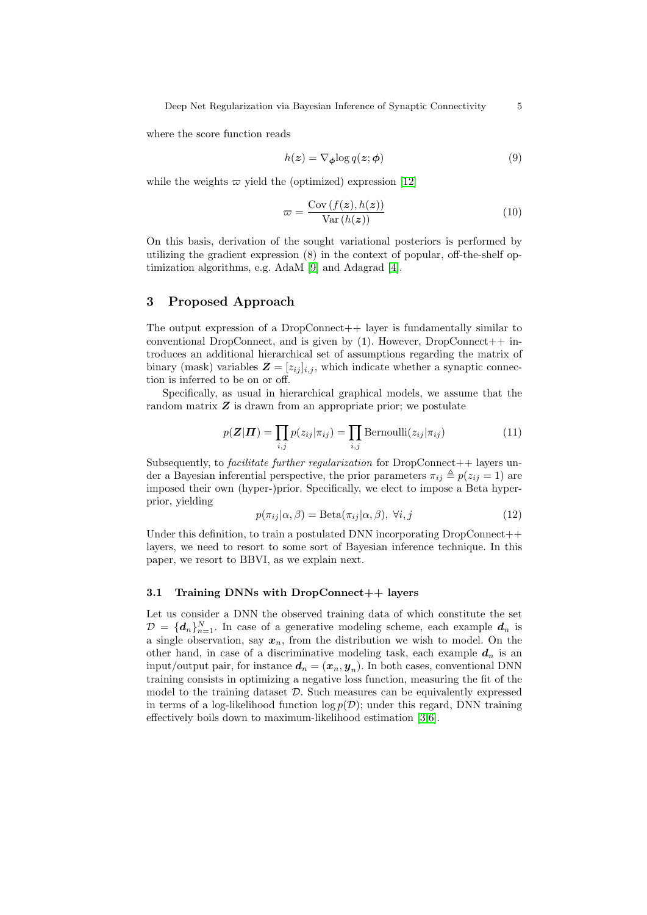Deep Net Regularization via Bayesian Inference of Synaptic Connectivity 5

where the score function reads

$$
h(z) = \nabla_{\phi} \log q(z; \phi)
$$
\n(9)

while the weights  $\varpi$  yield the (optimized) expression [\[12\]](#page-11-5)

$$
\varpi = \frac{\text{Cov}(f(z), h(z))}{\text{Var}(h(z))} \tag{10}
$$

On this basis, derivation of the sought variational posteriors is performed by utilizing the gradient expression (8) in the context of popular, off-the-shelf optimization algorithms, e.g. AdaM [\[9\]](#page-11-9) and Adagrad [\[4\]](#page-11-10).

# 3 Proposed Approach

The output expression of a DropConnect++ layer is fundamentally similar to conventional DropConnect, and is given by  $(1)$ . However, DropConnect $++$  introduces an additional hierarchical set of assumptions regarding the matrix of binary (mask) variables  $\mathbf{Z} = [z_{ij}]_{i,j}$ , which indicate whether a synaptic connection is inferred to be on or off.

Specifically, as usual in hierarchical graphical models, we assume that the random matrix  $Z$  is drawn from an appropriate prior; we postulate

$$
p(\mathbf{Z}|\mathbf{\Pi}) = \prod_{i,j} p(z_{ij}|\pi_{ij}) = \prod_{i,j} \text{Bernoulli}(z_{ij}|\pi_{ij})
$$
\n(11)

Subsequently, to *facilitate further regularization* for  $DropConnect++$  layers under a Bayesian inferential perspective, the prior parameters  $\pi_{ii} \triangleq p(z_{ii} = 1)$  are imposed their own (hyper-)prior. Specifically, we elect to impose a Beta hyperprior, yielding

$$
p(\pi_{ij}|\alpha,\beta) = \text{Beta}(\pi_{ij}|\alpha,\beta), \ \forall i,j
$$
 (12)

Under this definition, to train a postulated DNN incorporating DropConnect++ layers, we need to resort to some sort of Bayesian inference technique. In this paper, we resort to BBVI, as we explain next.

## 3.1 Training DNNs with DropConnect++ layers

Let us consider a DNN the observed training data of which constitute the set  $D = \{d_n\}_{n=1}^N$ . In case of a generative modeling scheme, each example  $d_n$  is a single observation, say  $x_n$ , from the distribution we wish to model. On the other hand, in case of a discriminative modeling task, each example  $d_n$  is an input/output pair, for instance  $d_n = (x_n, y_n)$ . In both cases, conventional DNN training consists in optimizing a negative loss function, measuring the fit of the model to the training dataset  $D$ . Such measures can be equivalently expressed in terms of a log-likelihood function  $\log p(\mathcal{D})$ ; under this regard, DNN training effectively boils down to maximum-likelihood estimation [\[3,](#page-11-11)[6\]](#page-11-12).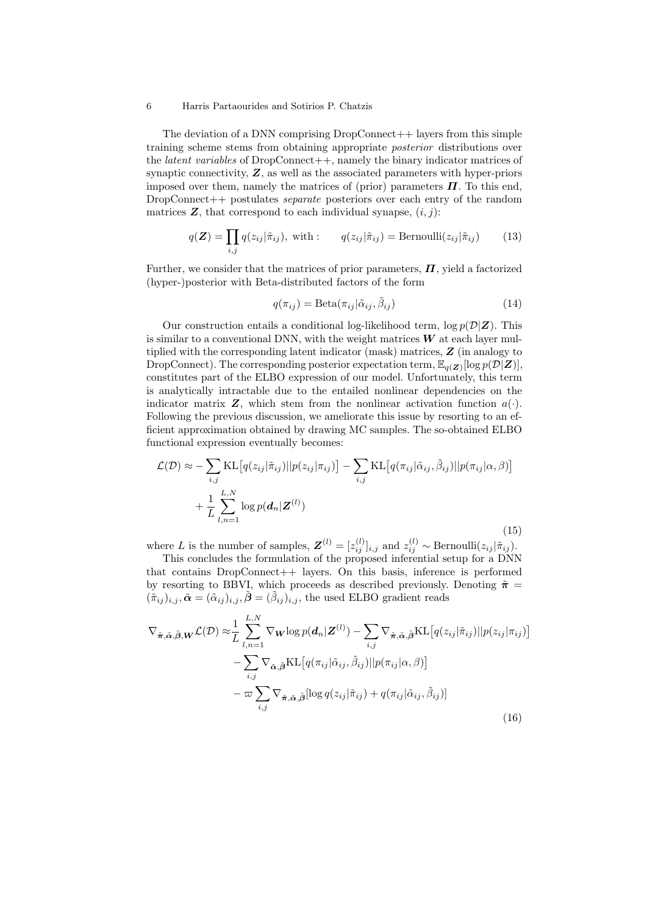The deviation of a DNN comprising  $DropConnect++$  layers from this simple training scheme stems from obtaining appropriate posterior distributions over the *latent variables* of  $DropConnect++$ , namely the binary indicator matrices of synaptic connectivity,  $Z$ , as well as the associated parameters with hyper-priors imposed over them, namely the matrices of (prior) parameters  $\Pi$ . To this end, DropConnect++ postulates *separate* posteriors over each entry of the random matrices  $Z$ , that correspond to each individual synapse,  $(i, j)$ :

$$
q(\mathbf{Z}) = \prod_{i,j} q(z_{ij} | \tilde{\pi}_{ij}), \text{ with : } q(z_{ij} | \tilde{\pi}_{ij}) = \text{Bernoulli}(z_{ij} | \tilde{\pi}_{ij}) \qquad (13)
$$

Further, we consider that the matrices of prior parameters,  $\Pi$ , yield a factorized (hyper-)posterior with Beta-distributed factors of the form

$$
q(\pi_{ij}) = \text{Beta}(\pi_{ij} | \tilde{\alpha}_{ij}, \tilde{\beta}_{ij})
$$
\n(14)

Our construction entails a conditional log-likelihood term,  $\log p(\mathcal{D}|Z)$ . This is similar to a conventional DNN, with the weight matrices  $W$  at each layer multiplied with the corresponding latent indicator (mask) matrices, Z (in analogy to DropConnect). The corresponding posterior expectation term,  $\mathbb{E}_{q(\mathbf{Z})}[\log p(\mathcal{D}|\mathbf{Z})],$ constitutes part of the ELBO expression of our model. Unfortunately, this term is analytically intractable due to the entailed nonlinear dependencies on the indicator matrix  $Z$ , which stem from the nonlinear activation function  $a(\cdot)$ . Following the previous discussion, we ameliorate this issue by resorting to an efficient approximation obtained by drawing MC samples. The so-obtained ELBO functional expression eventually becomes:

$$
\mathcal{L}(\mathcal{D}) \approx -\sum_{i,j} \text{KL}\left[q(z_{ij}|\tilde{\pi}_{ij})||p(z_{ij}|\pi_{ij})\right] - \sum_{i,j} \text{KL}\left[q(\pi_{ij}|\tilde{\alpha}_{ij}, \tilde{\beta}_{ij})||p(\pi_{ij}|\alpha, \beta)\right] + \frac{1}{L} \sum_{l,n=1}^{L,N} \log p(\boldsymbol{d}_n|\boldsymbol{Z}^{(l)})
$$
\n(15)

where L is the number of samples,  $\mathbf{Z}^{(l)} = [z_{ij}^{(l)}]_{i,j}$  and  $z_{ij}^{(l)} \sim \text{Bernoulli}(z_{ij}|\tilde{\pi}_{ij}).$ 

This concludes the formulation of the proposed inferential setup for a DNN that contains DropConnect++ layers. On this basis, inference is performed by resorting to BBVI, which proceeds as described previously. Denoting  $\tilde{\pi}$  =  $(\tilde{\pi}_{ij})_{i,j}, \tilde{\boldsymbol{\alpha}} = (\tilde{\alpha}_{ij})_{i,j}, \tilde{\boldsymbol{\beta}} = (\tilde{\beta}_{ij})_{i,j}$ , the used ELBO gradient reads

$$
\nabla_{\tilde{\boldsymbol{\pi}}, \tilde{\boldsymbol{\alpha}}, \tilde{\boldsymbol{\beta}}, \tilde{\boldsymbol{W}}} \mathcal{L}(\mathcal{D}) \approx \frac{1}{L} \sum_{l,n=1}^{L,N} \nabla_{\boldsymbol{W}} \log p(\boldsymbol{d}_n | \boldsymbol{Z}^{(l)}) - \sum_{i,j} \nabla_{\tilde{\boldsymbol{\pi}}, \tilde{\boldsymbol{\alpha}}, \tilde{\boldsymbol{\beta}}} \text{KL}\big[q(z_{ij} | \tilde{\pi}_{ij}) || p(z_{ij} | \pi_{ij})\big] \\
- \sum_{i,j} \nabla_{\tilde{\boldsymbol{\alpha}}, \tilde{\boldsymbol{\beta}}} \text{KL}\big[q(\pi_{ij} | \tilde{\alpha}_{ij}, \tilde{\beta}_{ij}) || p(\pi_{ij} | \alpha, \beta)\big] \\
- \varpi \sum_{i,j} \nabla_{\tilde{\boldsymbol{\pi}}, \tilde{\boldsymbol{\alpha}}, \tilde{\boldsymbol{\beta}}} [\log q(z_{ij} | \tilde{\pi}_{ij}) + q(\pi_{ij} | \tilde{\alpha}_{ij}, \tilde{\beta}_{ij})]\n\tag{16}
$$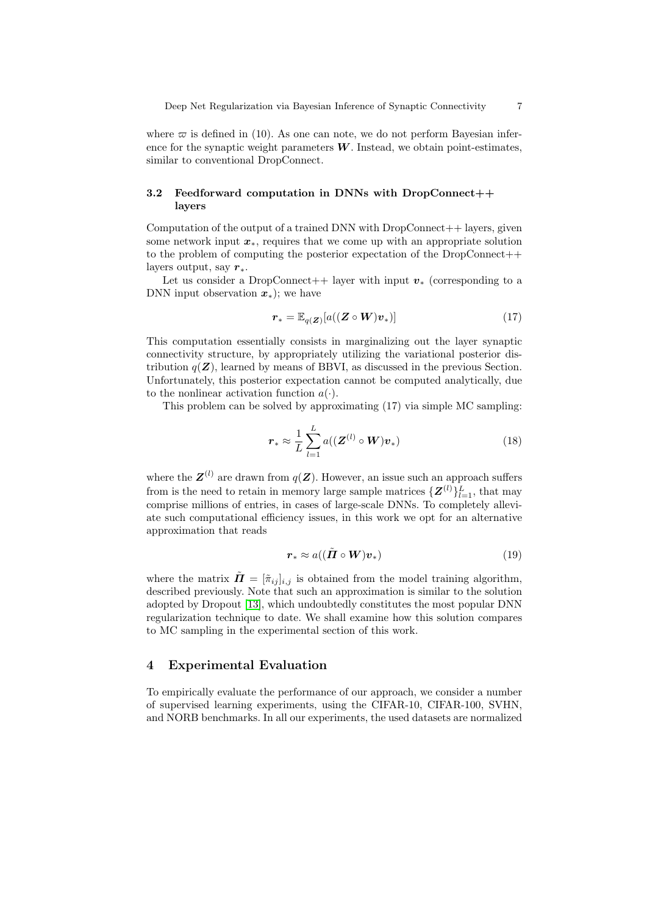where  $\varpi$  is defined in (10). As one can note, we do not perform Bayesian inference for the synaptic weight parameters  $W$ . Instead, we obtain point-estimates, similar to conventional DropConnect.

## 3.2 Feedforward computation in DNNs with DropConnect++ layers

Computation of the output of a trained DNN with  $DropConnect++$  layers, given some network input  $x_*$ , requires that we come up with an appropriate solution to the problem of computing the posterior expectation of the  $DropConnect++$ layers output, say  $r^*$ .

Let us consider a DropConnect++ layer with input  $v_*$  (corresponding to a DNN input observation  $x_*$ ); we have

$$
\boldsymbol{r}_{*} = \mathbb{E}_{q(\boldsymbol{Z})} [a((\boldsymbol{Z} \circ \boldsymbol{W})\boldsymbol{v}_{*})] \tag{17}
$$

This computation essentially consists in marginalizing out the layer synaptic connectivity structure, by appropriately utilizing the variational posterior distribution  $q(\mathbf{Z})$ , learned by means of BBVI, as discussed in the previous Section. Unfortunately, this posterior expectation cannot be computed analytically, due to the nonlinear activation function  $a(\cdot)$ .

This problem can be solved by approximating (17) via simple MC sampling:

$$
\boldsymbol{r}_{*} \approx \frac{1}{L} \sum_{l=1}^{L} a((\boldsymbol{Z}^{(l)} \circ \boldsymbol{W}) \boldsymbol{v}_{*})
$$
\n(18)

where the  $\mathbf{Z}^{(l)}$  are drawn from  $q(\mathbf{Z})$ . However, an issue such an approach suffers from is the need to retain in memory large sample matrices  $\{Z^{(l)}\}_{l=1}^L$ , that may comprise millions of entries, in cases of large-scale DNNs. To completely alleviate such computational efficiency issues, in this work we opt for an alternative approximation that reads

$$
\boldsymbol{r}_{*} \approx a((\tilde{\boldsymbol{\Pi}} \circ \boldsymbol{W})\boldsymbol{v}_{*})
$$
\n(19)

where the matrix  $\tilde{\mathbf{\Pi}} = [\tilde{\pi}_{ij}]_{i,j}$  is obtained from the model training algorithm, described previously. Note that such an approximation is similar to the solution adopted by Dropout [\[13\]](#page-11-1), which undoubtedly constitutes the most popular DNN regularization technique to date. We shall examine how this solution compares to MC sampling in the experimental section of this work.

## 4 Experimental Evaluation

To empirically evaluate the performance of our approach, we consider a number of supervised learning experiments, using the CIFAR-10, CIFAR-100, SVHN, and NORB benchmarks. In all our experiments, the used datasets are normalized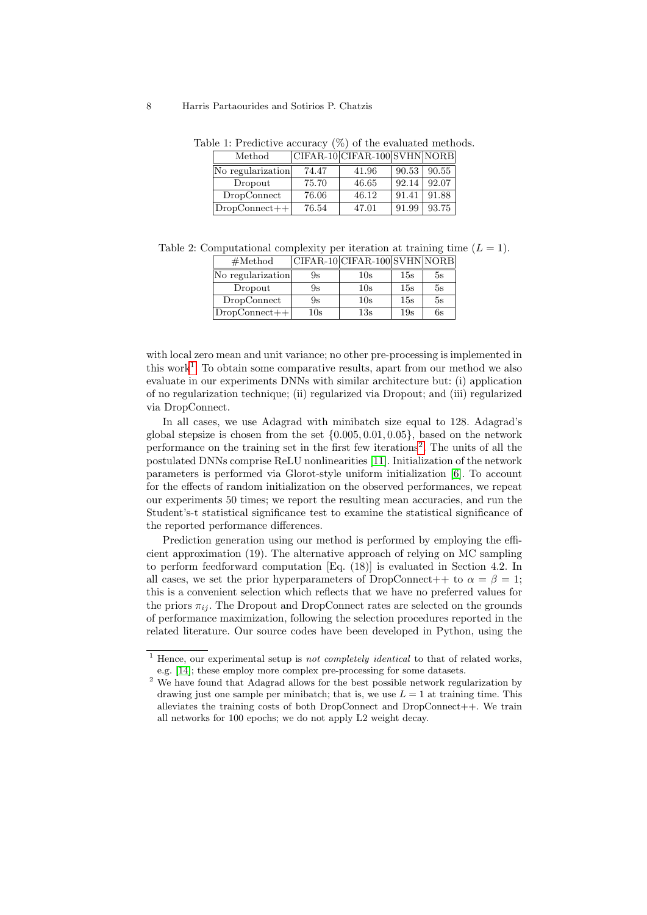| Method            |       | $ CIFAR-10 CIFAR-100 SVHN NORB $ |       |       |  |
|-------------------|-------|----------------------------------|-------|-------|--|
| No regularization | 74.47 | 41.96                            | 90.53 | 90.55 |  |
| Dropout           | 75.70 | 46.65                            | 92.14 | 92.07 |  |
| DropConnect       | 76.06 | 46.12                            | 91.41 | 91.88 |  |
| $DropConnect++$   | 76.54 | 47.01                            | 91.99 | 93.75 |  |

Table 1: Predictive accuracy (%) of the evaluated methods.

Table 2: Computational complexity per iteration at training time  $(L = 1)$ .

| #Method           |                | CIFAR-10 CIFAR-100 SVHN NORB |     |    |
|-------------------|----------------|------------------------------|-----|----|
| No regularization | 9s             | 10s                          | 15s | 5s |
| Dropout           | 9s             | 10s                          | 15s | 5s |
| DropConnect       | 9s             | 10s                          | 15s | 5s |
| $DropConnect++$   | $10\mathrm{s}$ | $13\mathrm{s}$               | 19s | 6s |

with local zero mean and unit variance; no other pre-processing is implemented in this work<sup>[1](#page-7-0)</sup>. To obtain some comparative results, apart from our method we also evaluate in our experiments DNNs with similar architecture but: (i) application of no regularization technique; (ii) regularized via Dropout; and (iii) regularized via DropConnect.

In all cases, we use Adagrad with minibatch size equal to 128. Adagrad's global stepsize is chosen from the set {0.005, 0.01, 0.05}, based on the network performance on the training set in the first few iterations<sup>[2](#page-7-1)</sup>. The units of all the postulated DNNs comprise ReLU nonlinearities [\[11\]](#page-11-13). Initialization of the network parameters is performed via Glorot-style uniform initialization [\[6\]](#page-11-12). To account for the effects of random initialization on the observed performances, we repeat our experiments 50 times; we report the resulting mean accuracies, and run the Student's-t statistical significance test to examine the statistical significance of the reported performance differences.

Prediction generation using our method is performed by employing the efficient approximation (19). The alternative approach of relying on MC sampling to perform feedforward computation [Eq. (18)] is evaluated in Section 4.2. In all cases, we set the prior hyperparameters of DropConnect++ to  $\alpha = \beta = 1$ ; this is a convenient selection which reflects that we have no preferred values for the priors  $\pi_{ij}$ . The Dropout and DropConnect rates are selected on the grounds of performance maximization, following the selection procedures reported in the related literature. Our source codes have been developed in Python, using the

<span id="page-7-0"></span> $1$  Hence, our experimental setup is *not completely identical* to that of related works, e.g. [\[14\]](#page-11-2); these employ more complex pre-processing for some datasets.

<span id="page-7-1"></span><sup>&</sup>lt;sup>2</sup> We have found that Adagrad allows for the best possible network regularization by drawing just one sample per minibatch; that is, we use  $L = 1$  at training time. This alleviates the training costs of both DropConnect and DropConnect $++$ . We train all networks for 100 epochs; we do not apply L2 weight decay.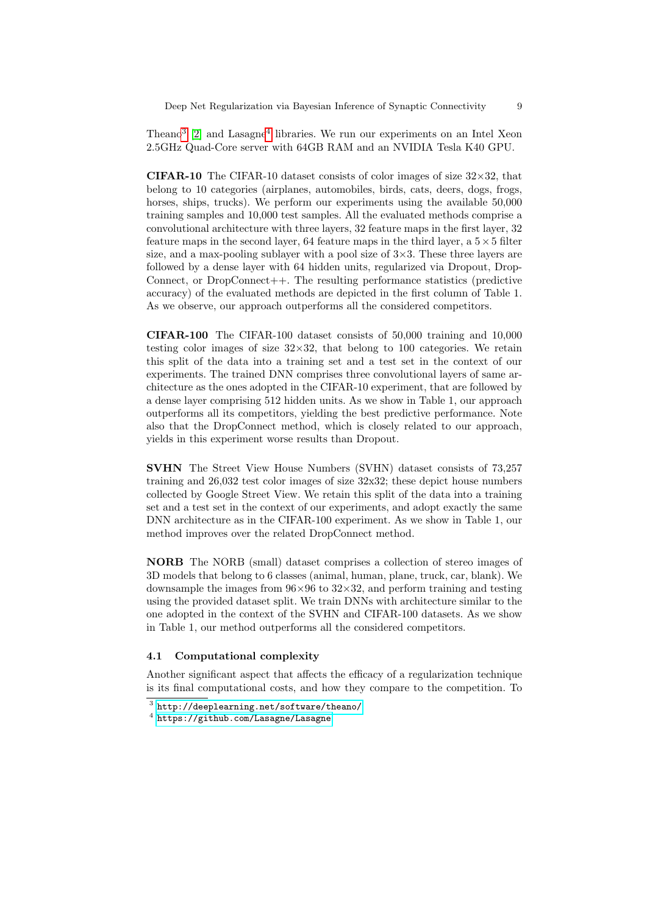Theano<sup>[3](#page-8-0)</sup> [\[2\]](#page-11-14) and Lasagne<sup>[4](#page-8-1)</sup> libraries. We run our experiments on an Intel Xeon 2.5GHz Quad-Core server with 64GB RAM and an NVIDIA Tesla K40 GPU.

**CIFAR-10** The CIFAR-10 dataset consists of color images of size  $32 \times 32$ , that belong to 10 categories (airplanes, automobiles, birds, cats, deers, dogs, frogs, horses, ships, trucks). We perform our experiments using the available 50,000 training samples and 10,000 test samples. All the evaluated methods comprise a convolutional architecture with three layers, 32 feature maps in the first layer, 32 feature maps in the second layer, 64 feature maps in the third layer, a  $5 \times 5$  filter size, and a max-pooling sublayer with a pool size of  $3\times3$ . These three layers are followed by a dense layer with 64 hidden units, regularized via Dropout, Drop-Connect, or DropConnect++. The resulting performance statistics (predictive accuracy) of the evaluated methods are depicted in the first column of Table 1. As we observe, our approach outperforms all the considered competitors.

CIFAR-100 The CIFAR-100 dataset consists of 50,000 training and 10,000 testing color images of size  $32\times32$ , that belong to 100 categories. We retain this split of the data into a training set and a test set in the context of our experiments. The trained DNN comprises three convolutional layers of same architecture as the ones adopted in the CIFAR-10 experiment, that are followed by a dense layer comprising 512 hidden units. As we show in Table 1, our approach outperforms all its competitors, yielding the best predictive performance. Note also that the DropConnect method, which is closely related to our approach, yields in this experiment worse results than Dropout.

SVHN The Street View House Numbers (SVHN) dataset consists of 73,257 training and 26,032 test color images of size 32x32; these depict house numbers collected by Google Street View. We retain this split of the data into a training set and a test set in the context of our experiments, and adopt exactly the same DNN architecture as in the CIFAR-100 experiment. As we show in Table 1, our method improves over the related DropConnect method.

NORB The NORB (small) dataset comprises a collection of stereo images of 3D models that belong to 6 classes (animal, human, plane, truck, car, blank). We downsample the images from  $96\times96$  to  $32\times32$ , and perform training and testing using the provided dataset split. We train DNNs with architecture similar to the one adopted in the context of the SVHN and CIFAR-100 datasets. As we show in Table 1, our method outperforms all the considered competitors.

## 4.1 Computational complexity

Another significant aspect that affects the efficacy of a regularization technique is its final computational costs, and how they compare to the competition. To

<span id="page-8-0"></span> $^3$  <http://deeplearning.net/software/theano/>

<span id="page-8-1"></span> $^4$  <https://github.com/Lasagne/Lasagne>.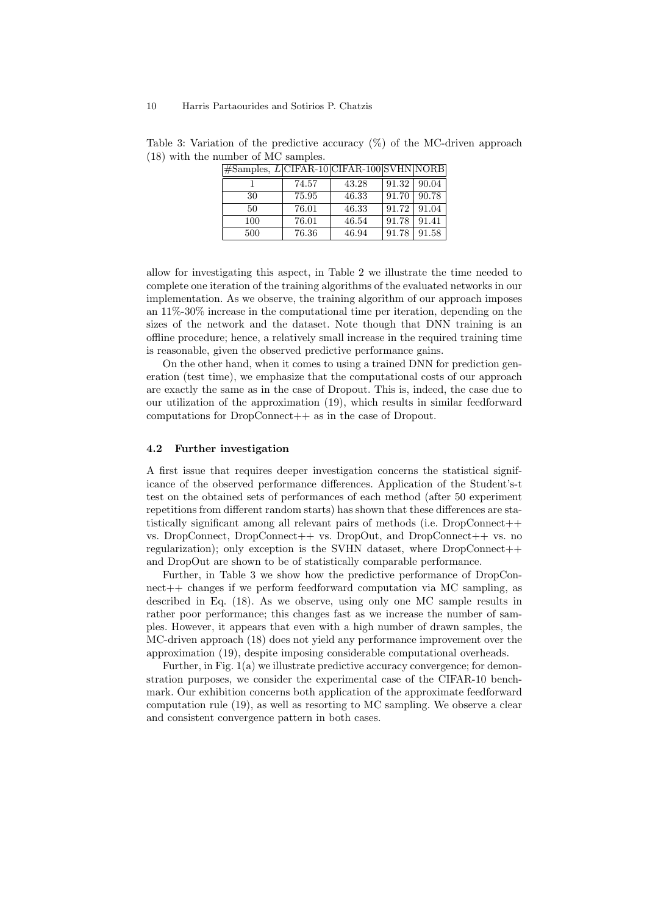| $ \#$ Samples, L CIFAR-10 CIFAR-100 SVHN NORB |       |       |       |       |  |  |
|-----------------------------------------------|-------|-------|-------|-------|--|--|
|                                               | 74.57 | 43.28 | 91.32 | 90.04 |  |  |
| 30                                            | 75.95 | 46.33 | 91.70 | 90.78 |  |  |
| 50                                            | 76.01 | 46.33 | 91.72 | 91.04 |  |  |
| 100                                           | 76.01 | 46.54 | 91.78 | 91.41 |  |  |
| 500                                           | 76.36 | 46.94 | 91.78 | 91.58 |  |  |

Table 3: Variation of the predictive accuracy (%) of the MC-driven approach (18) with the number of MC samples.

allow for investigating this aspect, in Table 2 we illustrate the time needed to complete one iteration of the training algorithms of the evaluated networks in our implementation. As we observe, the training algorithm of our approach imposes an 11%-30% increase in the computational time per iteration, depending on the sizes of the network and the dataset. Note though that DNN training is an offline procedure; hence, a relatively small increase in the required training time is reasonable, given the observed predictive performance gains.

On the other hand, when it comes to using a trained DNN for prediction generation (test time), we emphasize that the computational costs of our approach are exactly the same as in the case of Dropout. This is, indeed, the case due to our utilization of the approximation (19), which results in similar feedforward computations for DropConnect++ as in the case of Dropout.

#### 4.2 Further investigation

A first issue that requires deeper investigation concerns the statistical significance of the observed performance differences. Application of the Student's-t test on the obtained sets of performances of each method (after 50 experiment repetitions from different random starts) has shown that these differences are statistically significant among all relevant pairs of methods (i.e. DropConnect++ vs. DropConnect, DropConnect++ vs. DropOut, and DropConnect++ vs. no regularization); only exception is the SVHN dataset, where  $DropConnect++$ and DropOut are shown to be of statistically comparable performance.

Further, in Table 3 we show how the predictive performance of DropConnect++ changes if we perform feedforward computation via MC sampling, as described in Eq. (18). As we observe, using only one MC sample results in rather poor performance; this changes fast as we increase the number of samples. However, it appears that even with a high number of drawn samples, the MC-driven approach (18) does not yield any performance improvement over the approximation (19), despite imposing considerable computational overheads.

Further, in Fig. 1(a) we illustrate predictive accuracy convergence; for demonstration purposes, we consider the experimental case of the CIFAR-10 benchmark. Our exhibition concerns both application of the approximate feedforward computation rule (19), as well as resorting to MC sampling. We observe a clear and consistent convergence pattern in both cases.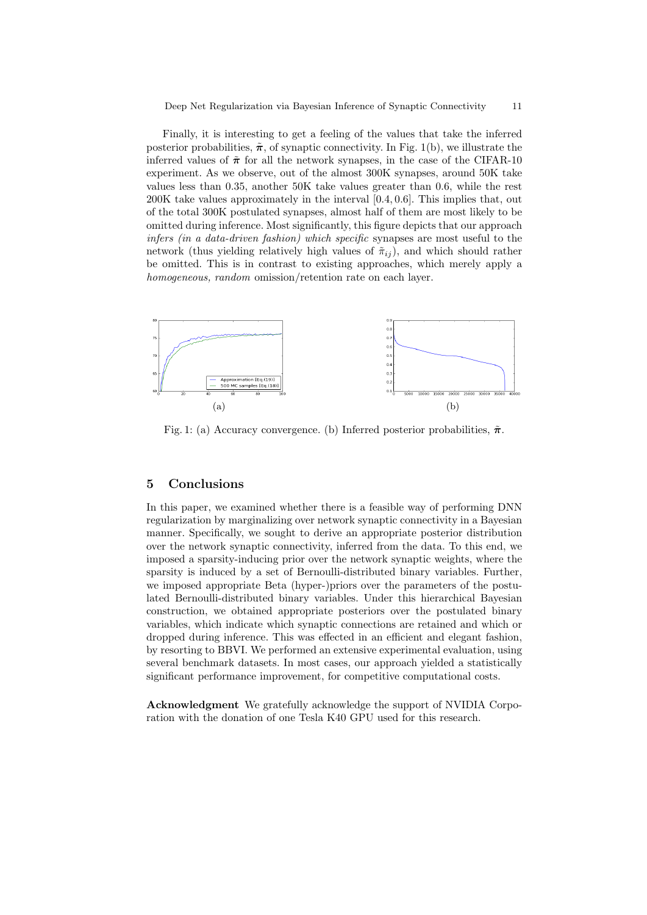Finally, it is interesting to get a feeling of the values that take the inferred posterior probabilities,  $\tilde{\pi}$ , of synaptic connectivity. In Fig. 1(b), we illustrate the inferred values of  $\tilde{\pi}$  for all the network synapses, in the case of the CIFAR-10 experiment. As we observe, out of the almost 300K synapses, around 50K take values less than 0.35, another 50K take values greater than 0.6, while the rest 200K take values approximately in the interval [0.4, 0.6]. This implies that, out of the total 300K postulated synapses, almost half of them are most likely to be omitted during inference. Most significantly, this figure depicts that our approach infers (in a data-driven fashion) which specific synapses are most useful to the network (thus yielding relatively high values of  $\tilde{\pi}_{ij}$ ), and which should rather be omitted. This is in contrast to existing approaches, which merely apply a homogeneous, random omission/retention rate on each layer.



Fig. 1: (a) Accuracy convergence. (b) Inferred posterior probabilities,  $\tilde{\pi}$ .

## 5 Conclusions

In this paper, we examined whether there is a feasible way of performing DNN regularization by marginalizing over network synaptic connectivity in a Bayesian manner. Specifically, we sought to derive an appropriate posterior distribution over the network synaptic connectivity, inferred from the data. To this end, we imposed a sparsity-inducing prior over the network synaptic weights, where the sparsity is induced by a set of Bernoulli-distributed binary variables. Further, we imposed appropriate Beta (hyper-)priors over the parameters of the postulated Bernoulli-distributed binary variables. Under this hierarchical Bayesian construction, we obtained appropriate posteriors over the postulated binary variables, which indicate which synaptic connections are retained and which or dropped during inference. This was effected in an efficient and elegant fashion, by resorting to BBVI. We performed an extensive experimental evaluation, using several benchmark datasets. In most cases, our approach yielded a statistically significant performance improvement, for competitive computational costs.

Acknowledgment We gratefully acknowledge the support of NVIDIA Corporation with the donation of one Tesla K40 GPU used for this research.